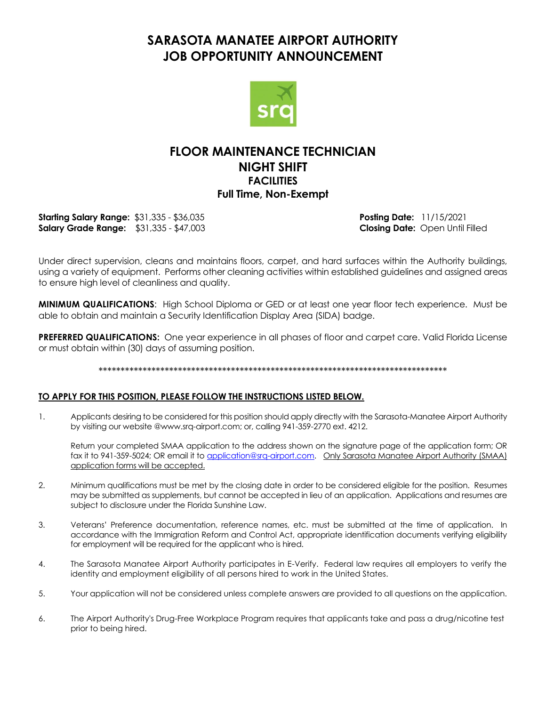## **SARASOTA MANATEE AIRPORT AUTHORITY JOB OPPORTUNITY ANNOUNCEMENT**



## **FLOOR MAINTENANCE TECHNICIAN NIGHT SHIFT FACILITIES Full Time, Non-Exempt**

**Starting Salary Range:** \$31,335 - \$36,035 **Posting Date:** 11/15/2021 **Salary Grade Range:** \$31,335 - \$47,003 **Closing Date:** Open Until Filled

Under direct supervision, cleans and maintains floors, carpet, and hard surfaces within the Authority buildings, using a variety of equipment. Performs other cleaning activities within established guidelines and assigned areas to ensure high level of cleanliness and quality.

**MINIMUM QUALIFICATIONS**: High School Diploma or GED or at least one year floor tech experience. Must be able to obtain and maintain a Security Identification Display Area (SIDA) badge.

**PREFERRED QUALIFICATIONS:** One year experience in all phases of floor and carpet care. Valid Florida License or must obtain within (30) days of assuming position.

#### \*\*\*\*\*\*\*\*\*\*\*\*\*\*\*\*\*\*\*\*\*\*\*\*\*\*\*\*\*\*\*\*\*\*\*\*\*\*\*\*\*\*\*\*\*\*\*\*\*\*\*\*\*\*\*\*\*\*\*\*\*\*\*\*\*\*\*\*\*\*\*\*\*\*\*\*\*\*\*

#### **TO APPLY FOR THIS POSITION, PLEASE FOLLOW THE INSTRUCTIONS LISTED BELOW.**

1. Applicants desiring to be considered for this position should apply directly with the Sarasota-Manatee Airport Authority by visiting our website @www.srq-airport.com; or, calling 941-359-2770 ext. 4212.

Return your completed SMAA application to the address shown on the signature page of the application form; OR fax it to 941-359-5024; OR email it to [application@srq-airport.com.](mailto:application@srq-airport.com) Only Sarasota Manatee Airport Authority (SMAA) application forms will be accepted.

- 2. Minimum qualifications must be met by the closing date in order to be considered eligible for the position. Resumes may be submitted as supplements, but cannot be accepted in lieu of an application. Applications and resumes are subject to disclosure under the Florida Sunshine Law.
- 3. Veterans' Preference documentation, reference names, etc. must be submitted at the time of application. In accordance with the Immigration Reform and Control Act, appropriate identification documents verifying eligibility for employment will be required for the applicant who is hired.
- 4. The Sarasota Manatee Airport Authority participates in E-Verify. Federal law requires all employers to verify the identity and employment eligibility of all persons hired to work in the United States.
- 5. Your application will not be considered unless complete answers are provided to all questions on the application.
- 6. The Airport Authority's Drug-Free Workplace Program requires that applicants take and pass a drug/nicotine test prior to being hired.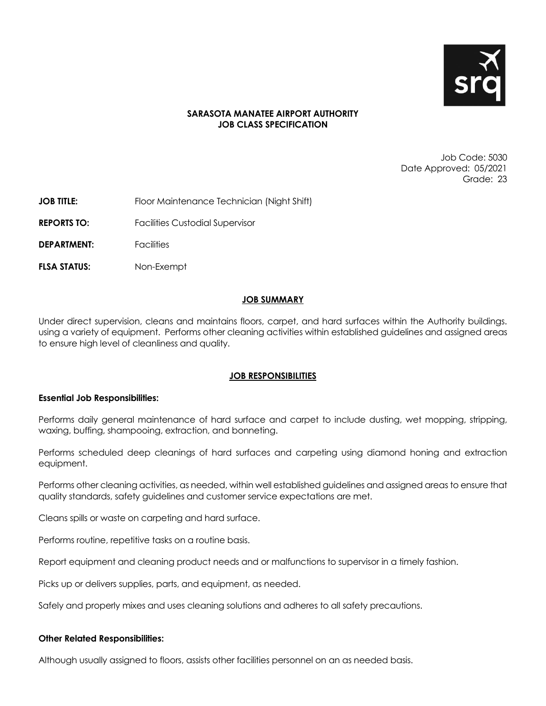

#### **SARASOTA MANATEE AIRPORT AUTHORITY JOB CLASS SPECIFICATION**

Job Code: 5030 Date Approved: 05/2021 Grade: 23

- **JOB TITLE:** Floor Maintenance Technician (Night Shift)
- **REPORTS TO:** Facilities Custodial Supervisor
- **DEPARTMENT:** Facilities
- **FLSA STATUS:** Non-Exempt

#### **JOB SUMMARY**

Under direct supervision, cleans and maintains floors, carpet, and hard surfaces within the Authority buildings. using a variety of equipment. Performs other cleaning activities within established guidelines and assigned areas to ensure high level of cleanliness and quality.

#### **JOB RESPONSIBILITIES**

#### **Essential Job Responsibilities:**

Performs daily general maintenance of hard surface and carpet to include dusting, wet mopping, stripping, waxing, buffing, shampooing, extraction, and bonneting.

Performs scheduled deep cleanings of hard surfaces and carpeting using diamond honing and extraction equipment.

Performs other cleaning activities, as needed, within well established guidelines and assigned areas to ensure that quality standards, safety guidelines and customer service expectations are met.

Cleans spills or waste on carpeting and hard surface.

Performs routine, repetitive tasks on a routine basis.

Report equipment and cleaning product needs and or malfunctions to supervisor in a timely fashion.

Picks up or delivers supplies, parts, and equipment, as needed.

Safely and properly mixes and uses cleaning solutions and adheres to all safety precautions.

#### **Other Related Responsibilities:**

Although usually assigned to floors, assists other facilities personnel on an as needed basis.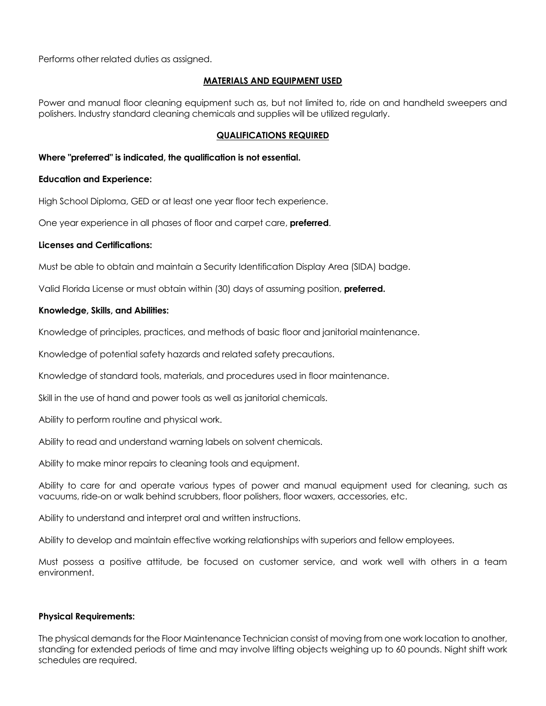Performs other related duties as assigned.

#### **MATERIALS AND EQUIPMENT USED**

Power and manual floor cleaning equipment such as, but not limited to, ride on and handheld sweepers and polishers. Industry standard cleaning chemicals and supplies will be utilized regularly.

#### **QUALIFICATIONS REQUIRED**

#### **Where "preferred" is indicated, the qualification is not essential.**

#### **Education and Experience:**

High School Diploma, GED or at least one year floor tech experience.

One year experience in all phases of floor and carpet care, **preferred**.

#### **Licenses and Certifications:**

Must be able to obtain and maintain a Security Identification Display Area (SIDA) badge.

Valid Florida License or must obtain within (30) days of assuming position, **preferred.**

#### **Knowledge, Skills, and Abilities:**

Knowledge of principles, practices, and methods of basic floor and janitorial maintenance.

Knowledge of potential safety hazards and related safety precautions.

Knowledge of standard tools, materials, and procedures used in floor maintenance.

Skill in the use of hand and power tools as well as janitorial chemicals.

Ability to perform routine and physical work.

Ability to read and understand warning labels on solvent chemicals.

Ability to make minor repairs to cleaning tools and equipment.

Ability to care for and operate various types of power and manual equipment used for cleaning, such as vacuums, ride-on or walk behind scrubbers, floor polishers, floor waxers, accessories, etc.

Ability to understand and interpret oral and written instructions.

Ability to develop and maintain effective working relationships with superiors and fellow employees.

Must possess a positive attitude, be focused on customer service, and work well with others in a team environment.

#### **Physical Requirements:**

The physical demands for the Floor Maintenance Technician consist of moving from one work location to another, standing for extended periods of time and may involve lifting objects weighing up to 60 pounds. Night shift work schedules are required.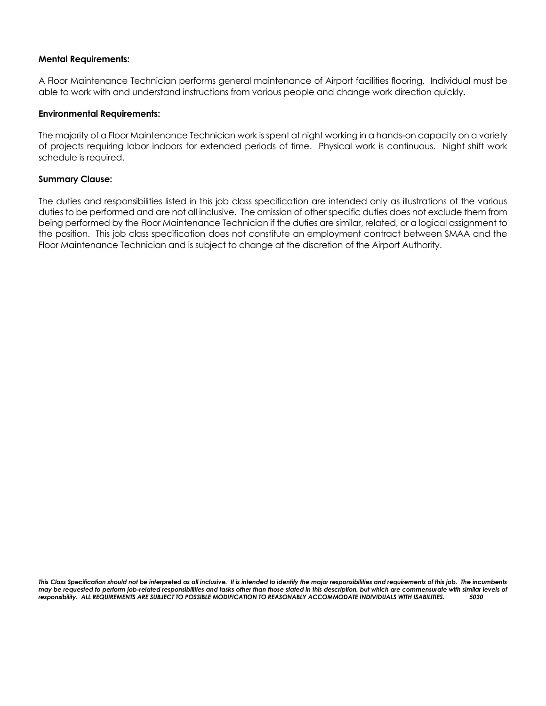#### **Mental Requirements:**

A Floor Maintenance Technician performs general maintenance of Airport facilities flooring. Individual must be able to work with and understand instructions from various people and change work direction quickly.

#### **Environmental Requirements:**

The majority of a Floor Maintenance Technician work is spent at night working in a hands-on capacity on a variety of projects requiring labor indoors for extended periods of time. Physical work is continuous. Night shift work schedule is required.

#### **Summary Clause:**

The duties and responsibilities listed in this job class specification are intended only as illustrations of the various duties to be performed and are not all inclusive. The omission of other specific duties does not exclude them from being performed by the Floor Maintenance Technician if the duties are similar, related, or a logical assignment to the position. This job class specification does not constitute an employment contract between SMAA and the Floor Maintenance Technician and is subject to change at the discretion of the Airport Authority.

*This Class Specification should not be interpreted as all inclusive. It is intended to identify the major responsibilities and requirements of this job. The incumbents may be requested to perform job-related responsibilities and tasks other than those stated in this description, but which are commensurate with similar levels of responsibility. ALL REQUIREMENTS ARE SUBJECT TO POSSIBLE MODIFICATION TO REASONABLY ACCOMMODATE INDIVIDUALS WITH ISABILITIES. 5030*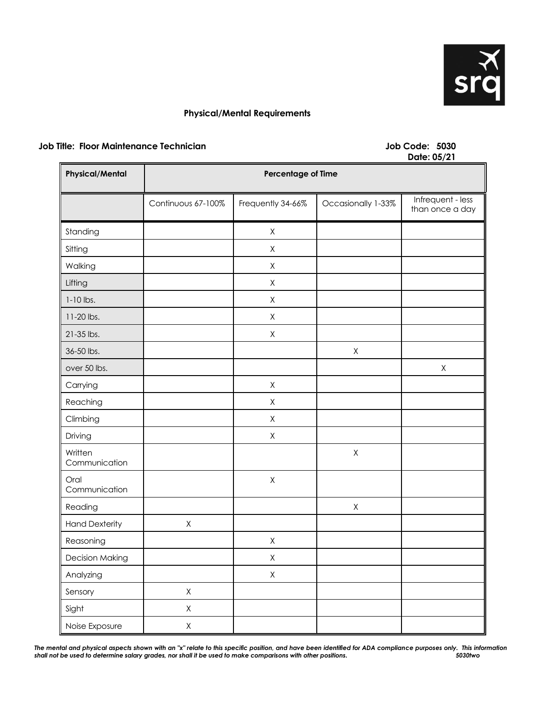

### **Physical/Mental Requirements**

### **Job Title: Floor Maintenance Technician Job Code: 5030**

# **Date: 05/21**

| <b>Physical/Mental</b>   | <b>Percentage of Time</b> |                   |                    |                                      |
|--------------------------|---------------------------|-------------------|--------------------|--------------------------------------|
|                          | Continuous 67-100%        | Frequently 34-66% | Occasionally 1-33% | Infrequent - less<br>than once a day |
| Standing                 |                           | $\mathsf X$       |                    |                                      |
| Sitting                  |                           | $\mathsf X$       |                    |                                      |
| Walking                  |                           | $\mathsf X$       |                    |                                      |
| Lifting                  |                           | $\mathsf X$       |                    |                                      |
| $1-10$ lbs.              |                           | $\mathsf X$       |                    |                                      |
| 11-20 lbs.               |                           | X                 |                    |                                      |
| 21-35 lbs.               |                           | $\mathsf X$       |                    |                                      |
| 36-50 lbs.               |                           |                   | Χ                  |                                      |
| over 50 lbs.             |                           |                   |                    | $\mathsf X$                          |
| Carrying                 |                           | $\mathsf X$       |                    |                                      |
| Reaching                 |                           | $\mathsf X$       |                    |                                      |
| Climbing                 |                           | $\mathsf X$       |                    |                                      |
| Driving                  |                           | $\mathsf X$       |                    |                                      |
| Written<br>Communication |                           |                   | $\mathsf X$        |                                      |
| Oral<br>Communication    |                           | $\mathsf X$       |                    |                                      |
| Reading                  |                           |                   | $\mathsf X$        |                                      |
| <b>Hand Dexterity</b>    | $\mathsf X$               |                   |                    |                                      |
| Reasoning                |                           | $\mathsf X$       |                    |                                      |
| <b>Decision Making</b>   |                           | $\mathsf X$       |                    |                                      |
| Analyzing                |                           | $\mathsf X$       |                    |                                      |
| Sensory                  | $\mathsf X$               |                   |                    |                                      |
| Sight                    | $\mathsf X$               |                   |                    |                                      |
| Noise Exposure           | $\mathsf X$               |                   |                    |                                      |

*The mental and physical aspects shown with an "x" relate to this specific position, and have been identified for ADA compliance purposes only. This information shall not be used to determine salary grades, nor shall it be used to make comparisons with other positions. 5030two*